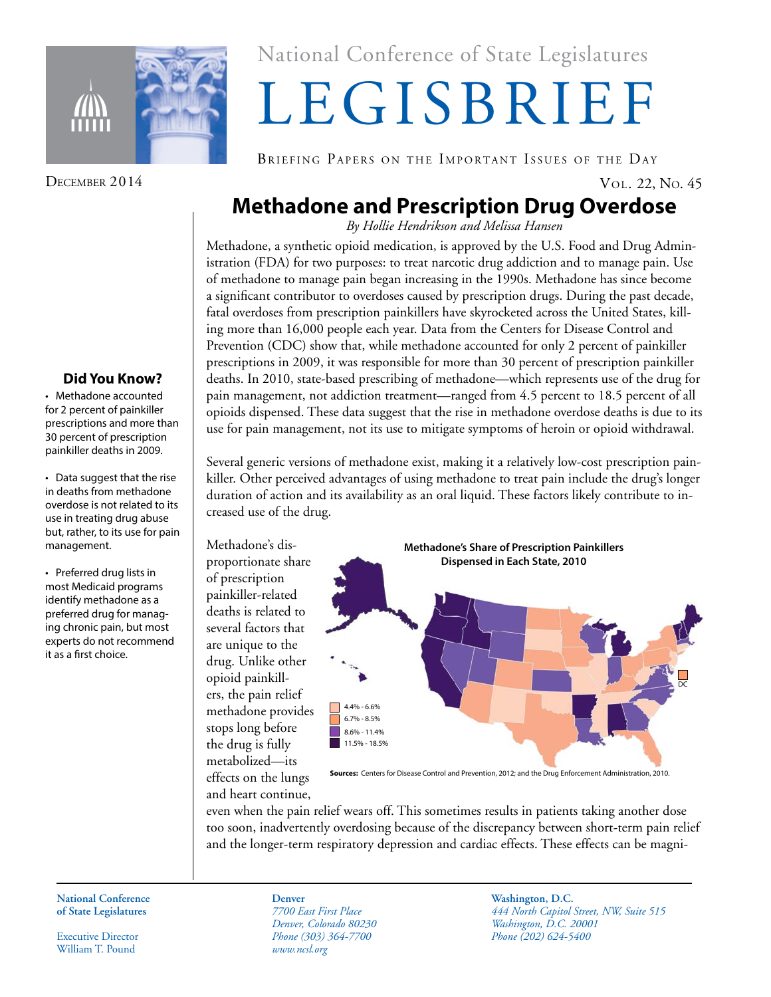

### **Did You Know?**

• Methadone accounted for 2 percent of painkiller prescriptions and more than 30 percent of prescription painkiller deaths in 2009.

• Data suggest that the rise in deaths from methadone overdose is not related to its use in treating drug abuse but, rather, to its use for pain management.

• Preferred drug lists in most Medicaid programs identify methadone as a preferred drug for managing chronic pain, but most experts do not recommend it as a first choice.

National Conference of State Legislatures National Conference of State Legislatures

# LEGISBRIEF LEGISBRIEF

BRIEFING PAPERS ON THE IMPORTANT ISSUES OF THE DAY

## **Methadone and Prescription Drug Overdose**

*By Hollie Hendrikson and Melissa Hansen*

Methadone, a synthetic opioid medication, is approved by the U.S. Food and Drug Administration (FDA) for two purposes: to treat narcotic drug addiction and to manage pain. Use of methadone to manage pain began increasing in the 1990s. Methadone has since become a significant contributor to overdoses caused by prescription drugs. During the past decade, fatal overdoses from prescription painkillers have skyrocketed across the United States, killing more than 16,000 people each year. Data from the Centers for Disease Control and Prevention (CDC) show that, while methadone accounted for only 2 percent of painkiller prescriptions in 2009, it was responsible for more than 30 percent of prescription painkiller deaths. In 2010, state-based prescribing of methadone—which represents use of the drug for pain management, not addiction treatment—ranged from 4.5 percent to 18.5 percent of all opioids dispensed. These data suggest that the rise in methadone overdose deaths is due to its use for pain management, not its use to mitigate symptoms of heroin or opioid withdrawal.

Several generic versions of methadone exist, making it a relatively low-cost prescription painkiller. Other perceived advantages of using methadone to treat pain include the drug's longer duration of action and its availability as an oral liquid. These factors likely contribute to increased use of the drug.

Methadone's disproportionate share of prescription painkiller-related deaths is related to several factors that are unique to the drug. Unlike other opioid painkillers, the pain relief methadone provides stops long before the drug is fully metabolized—its effects on the lungs and heart continue,

**Methadone's Share of Prescription Painkillers Dispensed in Each State, 2010**



**Sources:** Centers for Disease Control and Prevention, 2012; and the Drug Enforcement Administration, 2010.

even when the pain relief wears off. This sometimes results in patients taking another dose too soon, inadvertently overdosing because of the discrepancy between short-term pain relief and the longer-term respiratory depression and cardiac effects. These effects can be magni-

**National Conference National Conference of State Legislatures of State Legislatures**

Executive Director Executive Director William T. Pound William T. Pound

*7700 East First Place 7700 East First Place Denver, Colorado 80230 Denver, Colorado 80230 Phone (303) 364-7700 Phone (303) 364-7700 www.ncsl.org www.ncsl.org* **Denver**

**Washington, D.C. Washington, D.C.** *444 North Capitol Street, NW, Suite 515 444 North Capitol Street, NW, Suite 515 Washington, D.C. 20001 Washington, D.C. 20001 Phone (202) 624-5400 Phone (202) 624-5400*

DECEMBER 2014 VOL. 22, No. 45